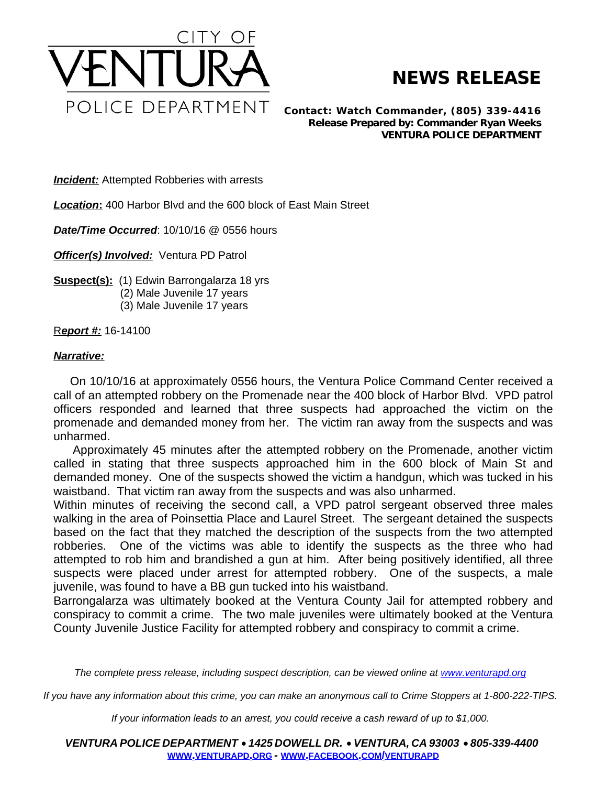

## **NEWS RELEASE**

*Contact: Watch Commander, (805) 339-4416 Release Prepared by: Commander Ryan Weeks* **VENTURA POLICE DEPARTMENT**

**Incident:** Attempted Robberies with arrests

*Location***:** 400 Harbor Blvd and the 600 block of East Main Street

*Date/Time Occurred*: 10/10/16 @ 0556 hours

*Officer(s) Involved: Ventura PD Patrol* 

**Suspect(s):** (1) Edwin Barrongalarza 18 yrs

- (2) Male Juvenile 17 years
- (3) Male Juvenile 17 years

R*eport #:* 16-14100

## *Narrative:*

On 10/10/16 at approximately 0556 hours, the Ventura Police Command Center received a call of an attempted robbery on the Promenade near the 400 block of Harbor Blvd. VPD patrol officers responded and learned that three suspects had approached the victim on the promenade and demanded money from her. The victim ran away from the suspects and was unharmed.

Approximately 45 minutes after the attempted robbery on the Promenade, another victim called in stating that three suspects approached him in the 600 block of Main St and demanded money. One of the suspects showed the victim a handgun, which was tucked in his waistband. That victim ran away from the suspects and was also unharmed.

Within minutes of receiving the second call, a VPD patrol sergeant observed three males walking in the area of Poinsettia Place and Laurel Street. The sergeant detained the suspects based on the fact that they matched the description of the suspects from the two attempted robberies. One of the victims was able to identify the suspects as the three who had attempted to rob him and brandished a gun at him. After being positively identified, all three suspects were placed under arrest for attempted robbery. One of the suspects, a male juvenile, was found to have a BB gun tucked into his waistband.

Barrongalarza was ultimately booked at the Ventura County Jail for attempted robbery and conspiracy to commit a crime. The two male juveniles were ultimately booked at the Ventura County Juvenile Justice Facility for attempted robbery and conspiracy to commit a crime.

The complete press release, including suspect description, can be viewed online at [www.venturapd.org](http://www.venturapd.org)

*If you have any information about this crime, you can make an anonymous call to Crime Stoppers at 1-800-222-TIPS.*

*If your information leads to an arrest, you could receive a cash reward of up to \$1,000.*

*VENTURA POLICE DEPARTMENT* · *1425 DOWELL DR.* · *VENTURA, CA 93003* · *805-339-4400* **WWW.[VENTURAPD](http://www.venturapd.org).ORG** *-* **WWW.FACEBOOK.COM/[VENTURAPD](http://www.facebook.com/venturapd)**